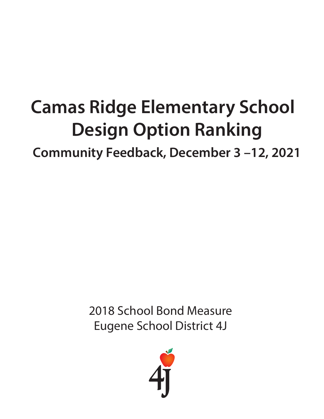# **Camas Ridge Elementary School Design Option Ranking**

**Community Feedback, December 3 –12, 2021**

2018 School Bond Measure Eugene School District 4J

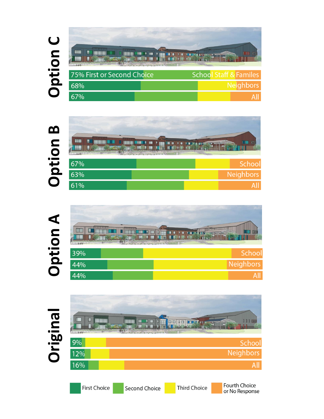#### Option C m **S ISSIS! THE PRE** Ш **SERIE** <u>ile</u>  $\blacksquare$ **1 III** Π 75% First or Second Choice **School Staff & Familes** 68% **Neighbors** 67% All

| m   | W.<br>Ц | H.        | <b>COM</b><br>T L |
|-----|---------|-----------|-------------------|
| 67% |         |           | Schoo             |
| 63% |         | Neighbors |                   |
| 61% |         |           |                   |





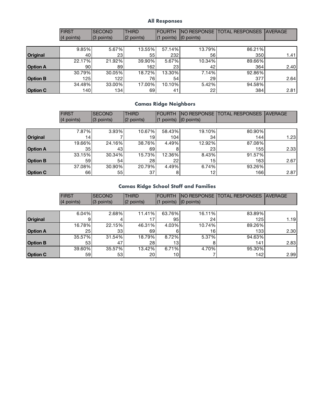#### **All Responses**

|                 | <b>FIRST</b> | <b>SECOND</b> | <b>THIRD</b> | <b>IFOURTH</b>        |              | NO RESPONSE   TOTAL RESPONSES | <b>AVERAGE</b> |
|-----------------|--------------|---------------|--------------|-----------------------|--------------|-------------------------------|----------------|
|                 | (4 points)   | $(3$ points)  | $(2$ points) | points)<br>$\vert$ (1 | $(0$ points) |                               |                |
|                 |              |               |              |                       |              |                               |                |
|                 | 9.85%        | 5.67%         | 13.55%       | 57.14%                | 13.79%       | 86.21%                        |                |
| <b>Original</b> | 40           | 23            | 551          | 232                   | 56           | 350                           | 1.41           |
|                 | 22.17%       | 21.92%        | 39.90%       | 5.67%                 | 10.34%       | 89.66%                        |                |
| <b>Option A</b> | 90           | 89            | 162          | 23                    | 42           | 364                           | 2.40           |
|                 | 30.79%       | 30.05%        | 18.72%       | 13.30%                | 7.14%        | 92.86%                        |                |
| <b>Option B</b> | 125          | 122           | 76           | 54                    | 29           | 377                           | 2.64           |
|                 | 34.48%       | 33.00%        | 17.00%       | 10.10%                | 5.42%        | 94.58%                        |                |
| <b>Option C</b> | 140          | 134           | 69           | 41                    | 22           | 384                           | 2.81           |

### **Camas Ridge Neighbors**

|                 | <b>FIRST</b> | <b>SECOND</b> | <b>THIRD</b>    | <b>FOURTH</b>   | INO RESPONSE    | <b>TOTAL RESPONSES</b> | <b>AVERAGE</b> |
|-----------------|--------------|---------------|-----------------|-----------------|-----------------|------------------------|----------------|
|                 | (4 points)   | $(3$ points)  | $(2$ points)    | points)         | $(0$ points)    |                        |                |
|                 |              |               |                 |                 |                 |                        |                |
|                 | 7.87%        | 3.93%         | 10.67%          | 58.43%          | 19.10%          | 80.90%                 |                |
| <b>Original</b> | 14           |               | 19              | 104             | 34              | 144                    | 1.23           |
|                 | 19.66%       | 24.16%        | 38.76%          | 4.49%           | 12.92%          | 87.08%                 |                |
| <b>Option A</b> | 35           | 43            | 69              |                 | 23              | 155                    | 2.33           |
|                 | 33.15%       | 30.34%        | 15.73%          | 12.36%          | 8.43%           | 91.57%                 |                |
| <b>Option B</b> | 59           | 54            | 28 <sub>1</sub> | 22 <sub>1</sub> | 15 <sub>1</sub> | 163                    | 2.67           |
|                 | 37.08%       | 30.90%        | 20.79%          | 4.49%           | 6.74%           | 93.26%                 |                |
| <b>Option C</b> | 66           | 551           | 37              |                 | 12              | 166                    | 2.87           |

### **Camas Ridge School Staff and Families**

|                 | <b>FIRST</b> | <b>SECOND</b> | <b>THIRD</b>    | <b>FOURTH</b> | <b>INO RESPONSE</b> | <b>ITOTAL RESPONSES</b> | <b>AVERAGE</b> |
|-----------------|--------------|---------------|-----------------|---------------|---------------------|-------------------------|----------------|
|                 | (4 points)   | $(3$ points)  | $(2$ points)    | $(1$ points)  | $(0$ points)        |                         |                |
|                 |              |               |                 |               |                     |                         |                |
|                 | 6.04%        | 2.68%         | 11.41%          | 63.76%        | 16.11%              | 83.89%                  |                |
| Original        | 9            |               | 17              | 95            | 24                  | 125                     | 1.19           |
|                 | 16.78%       | 22.15%        | 46.31%          | 4.03%         | 10.74%              | 89.26%                  |                |
| <b>Option A</b> | 25           | 33            | 69              |               | 16                  | 133                     | 2.30           |
|                 | 35.57%       | 31.54%        | 18.79%          | 8.72%         | 5.37%               | 94.63%                  |                |
| <b>Option B</b> | 53           | 47            | 28              | 13.           |                     | 141                     | 2.83           |
|                 | 39.60%       | 35.57%        | 13.42%          | 6.71%         | 4.70%               | 95.30%                  |                |
| <b>Option C</b> | 59           | 53            | 20 <sub>l</sub> | 10            |                     | 142                     | 2.99           |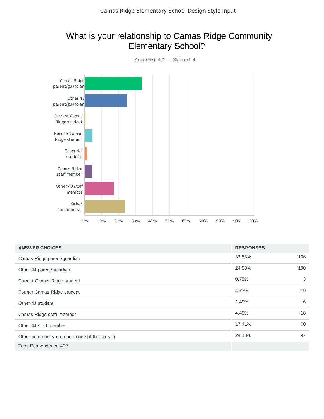## What is your relationship to Camas Ridge Community Elementary School?



| <b>ANSWER CHOICES</b>                      | <b>RESPONSES</b> |     |
|--------------------------------------------|------------------|-----|
| Camas Ridge parent/guardian                | 33.83%           | 136 |
| Other 4J parent/guardian                   | 24.88%           | 100 |
| Current Camas Ridge student                | 0.75%            | 3   |
| Former Camas Ridge student                 | 4.73%            | 19  |
| Other 4J student                           | 1.49%            | 6   |
| Camas Ridge staff member                   | 4.48%            | 18  |
| Other 4J staff member                      | 17.41%           | 70  |
| Other community member (none of the above) | 24.13%           | 97  |
| Total Respondents: 402                     |                  |     |